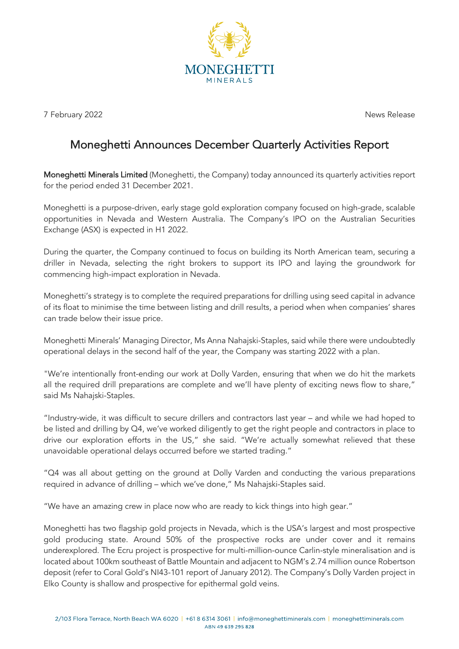

7 February 2022 News Release

## Moneghetti Announces December Quarterly Activities Report

Moneghetti Minerals Limited (Moneghetti, the Company) today announced its quarterly activities report for the period ended 31 December 2021.

Moneghetti is a purpose-driven, early stage gold exploration company focused on high-grade, scalable opportunities in Nevada and Western Australia. The Company's IPO on the Australian Securities Exchange (ASX) is expected in H1 2022.

During the quarter, the Company continued to focus on building its North American team, securing a driller in Nevada, selecting the right brokers to support its IPO and laying the groundwork for commencing high-impact exploration in Nevada.

Moneghetti's strategy is to complete the required preparations for drilling using seed capital in advance of its float to minimise the time between listing and drill results, a period when when companies' shares can trade below their issue price.

Moneghetti Minerals' Managing Director, Ms Anna Nahajski-Staples, said while there were undoubtedly operational delays in the second half of the year, the Company was starting 2022 with a plan.

"We're intentionally front-ending our work at Dolly Varden, ensuring that when we do hit the markets all the required drill preparations are complete and we'll have plenty of exciting news flow to share," said Ms Nahajski-Staples.

"Industry-wide, it was difficult to secure drillers and contractors last year – and while we had hoped to be listed and drilling by Q4, we've worked diligently to get the right people and contractors in place to drive our exploration efforts in the US," she said. "We're actually somewhat relieved that these unavoidable operational delays occurred before we started trading."

"Q4 was all about getting on the ground at Dolly Varden and conducting the various preparations required in advance of drilling – which we've done," Ms Nahajski-Staples said.

"We have an amazing crew in place now who are ready to kick things into high gear."

Moneghetti has two flagship gold projects in Nevada, which is the USA's largest and most prospective gold producing state. Around 50% of the prospective rocks are under cover and it remains underexplored. The Ecru project is prospective for multi-million-ounce Carlin-style mineralisation and is located about 100km southeast of Battle Mountain and adjacent to NGM's 2.74 million ounce Robertson deposit (refer to Coral Gold's NI43-101 report of January 2012). The Company's Dolly Varden project in Elko County is shallow and prospective for epithermal gold veins.